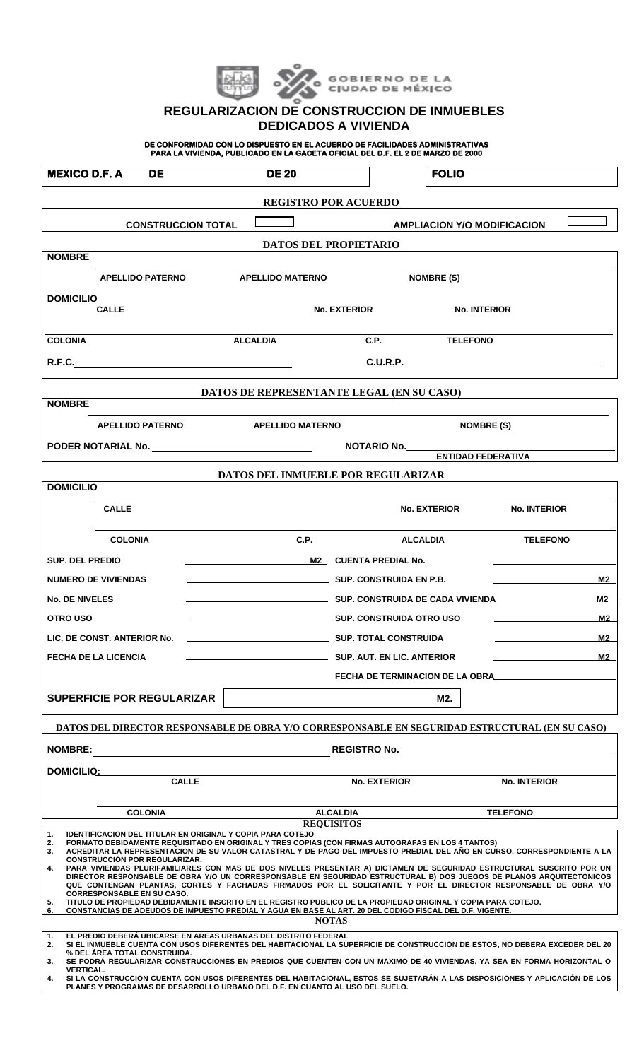|  |  | GORIERNO DE LA<br>CIUDAD DE MÉXICO |
|--|--|------------------------------------|
|--|--|------------------------------------|

## **REGULARIZACION DE CONSTRUCCION DE INMUEBLES DEDICADOS A VIVIENDA**

**DE CONFORMIDAD CON LO DISPUESTO EN EL ACUERDO DE FACILIDADES ADMINISTRATIVAS PARA LA VIVIENDA, PUBLICADO EN LA GACETA OFICIAL DEL D.F. EL 2 DE MARZO DE 2000** 

| <b>MEXICO D.F. A</b><br><b>DE</b>                                                                                                                                                                                                                                                                                                                                                                                                                                                                                                                                                                                                                                                                                                                       | <b>DE 20</b>                              |                          | <b>FOLIO</b>                    |                     |  |  |
|---------------------------------------------------------------------------------------------------------------------------------------------------------------------------------------------------------------------------------------------------------------------------------------------------------------------------------------------------------------------------------------------------------------------------------------------------------------------------------------------------------------------------------------------------------------------------------------------------------------------------------------------------------------------------------------------------------------------------------------------------------|-------------------------------------------|--------------------------|---------------------------------|---------------------|--|--|
| <b>REGISTRO POR ACUERDO</b>                                                                                                                                                                                                                                                                                                                                                                                                                                                                                                                                                                                                                                                                                                                             |                                           |                          |                                 |                     |  |  |
| <b>CONSTRUCCION TOTAL</b><br><b>AMPLIACION Y/O MODIFICACION</b>                                                                                                                                                                                                                                                                                                                                                                                                                                                                                                                                                                                                                                                                                         |                                           |                          |                                 |                     |  |  |
| <b>DATOS DEL PROPIETARIO</b><br><b>NOMBRE</b>                                                                                                                                                                                                                                                                                                                                                                                                                                                                                                                                                                                                                                                                                                           |                                           |                          |                                 |                     |  |  |
| <b>APELLIDO PATERNO</b>                                                                                                                                                                                                                                                                                                                                                                                                                                                                                                                                                                                                                                                                                                                                 | <b>APELLIDO MATERNO</b>                   |                          | <b>NOMBRE (S)</b>               |                     |  |  |
| DOMICILIO                                                                                                                                                                                                                                                                                                                                                                                                                                                                                                                                                                                                                                                                                                                                               |                                           |                          |                                 |                     |  |  |
| <b>CALLE</b>                                                                                                                                                                                                                                                                                                                                                                                                                                                                                                                                                                                                                                                                                                                                            |                                           | <b>No. EXTERIOR</b>      | <b>No. INTERIOR</b>             |                     |  |  |
| <b>COLONIA</b>                                                                                                                                                                                                                                                                                                                                                                                                                                                                                                                                                                                                                                                                                                                                          | <b>ALCALDIA</b>                           |                          | C.P. TELEFONO                   |                     |  |  |
|                                                                                                                                                                                                                                                                                                                                                                                                                                                                                                                                                                                                                                                                                                                                                         |                                           |                          |                                 | C.U.R.P.            |  |  |
|                                                                                                                                                                                                                                                                                                                                                                                                                                                                                                                                                                                                                                                                                                                                                         | DATOS DE REPRESENTANTE LEGAL (EN SU CASO) |                          |                                 |                     |  |  |
| <b>NOMBRE</b>                                                                                                                                                                                                                                                                                                                                                                                                                                                                                                                                                                                                                                                                                                                                           |                                           |                          |                                 |                     |  |  |
| <b>APELLIDO PATERNO</b>                                                                                                                                                                                                                                                                                                                                                                                                                                                                                                                                                                                                                                                                                                                                 | <b>APELLIDO MATERNO</b>                   |                          |                                 | <b>NOMBRE (S)</b>   |  |  |
|                                                                                                                                                                                                                                                                                                                                                                                                                                                                                                                                                                                                                                                                                                                                                         | NOTARIO No.<br>ENTIDAD FEDERATIVA         |                          |                                 |                     |  |  |
|                                                                                                                                                                                                                                                                                                                                                                                                                                                                                                                                                                                                                                                                                                                                                         | <b>DATOS DEL INMUEBLE POR REGULARIZAR</b> |                          |                                 |                     |  |  |
| <b>DOMICILIO</b>                                                                                                                                                                                                                                                                                                                                                                                                                                                                                                                                                                                                                                                                                                                                        |                                           |                          |                                 |                     |  |  |
| <b>CALLE</b>                                                                                                                                                                                                                                                                                                                                                                                                                                                                                                                                                                                                                                                                                                                                            |                                           |                          | <b>No. EXTERIOR</b>             | <b>No. INTERIOR</b> |  |  |
| <b>COLONIA</b>                                                                                                                                                                                                                                                                                                                                                                                                                                                                                                                                                                                                                                                                                                                                          | C.P.                                      |                          | <b>ALCALDIA</b>                 | <b>TELEFONO</b>     |  |  |
| <b>SUP. DEL PREDIO</b>                                                                                                                                                                                                                                                                                                                                                                                                                                                                                                                                                                                                                                                                                                                                  | M2 CUENTA PREDIAL No.                     |                          |                                 |                     |  |  |
| <b>NUMERO DE VIVIENDAS</b>                                                                                                                                                                                                                                                                                                                                                                                                                                                                                                                                                                                                                                                                                                                              | SUP. CONSTRUIDA EN P.B.                   |                          |                                 | M <sub>2</sub>      |  |  |
| <b>No. DE NIVELES</b>                                                                                                                                                                                                                                                                                                                                                                                                                                                                                                                                                                                                                                                                                                                                   |                                           |                          |                                 | M <sub>2</sub>      |  |  |
| <b>OTRO USO</b>                                                                                                                                                                                                                                                                                                                                                                                                                                                                                                                                                                                                                                                                                                                                         |                                           | SUP. CONSTRUIDA OTRO USO |                                 | M2                  |  |  |
| LIC. DE CONST. ANTERIOR No.                                                                                                                                                                                                                                                                                                                                                                                                                                                                                                                                                                                                                                                                                                                             | SUP. TOTAL CONSTRUIDA                     |                          |                                 | M2                  |  |  |
| <b>FECHA DE LA LICENCIA</b>                                                                                                                                                                                                                                                                                                                                                                                                                                                                                                                                                                                                                                                                                                                             |                                           |                          |                                 | M2                  |  |  |
|                                                                                                                                                                                                                                                                                                                                                                                                                                                                                                                                                                                                                                                                                                                                                         |                                           |                          | FECHA DE TERMINACION DE LA OBRA |                     |  |  |
| <b>SUPERFICIE POR REGULARIZAR</b>                                                                                                                                                                                                                                                                                                                                                                                                                                                                                                                                                                                                                                                                                                                       |                                           |                          | M2.                             |                     |  |  |
| DATOS DEL DIRECTOR RESPONSABLE DE OBRA Y/O CORRESPONSABLE EN SEGURIDAD ESTRUCTURAL (EN SU CASO)                                                                                                                                                                                                                                                                                                                                                                                                                                                                                                                                                                                                                                                         |                                           |                          |                                 |                     |  |  |
| <b>NOMBRE:</b>                                                                                                                                                                                                                                                                                                                                                                                                                                                                                                                                                                                                                                                                                                                                          |                                           |                          |                                 |                     |  |  |
| DOMICILIO: POMICILIO                                                                                                                                                                                                                                                                                                                                                                                                                                                                                                                                                                                                                                                                                                                                    |                                           |                          |                                 |                     |  |  |
| <b>CALLE</b>                                                                                                                                                                                                                                                                                                                                                                                                                                                                                                                                                                                                                                                                                                                                            |                                           | <b>No. EXTERIOR</b>      |                                 | <b>No. INTERIOR</b> |  |  |
| <b>COLONIA</b>                                                                                                                                                                                                                                                                                                                                                                                                                                                                                                                                                                                                                                                                                                                                          |                                           | <b>ALCALDIA</b>          |                                 | <b>TELEFONO</b>     |  |  |
| <b>REQUISITOS</b><br><b>IDENTIFICACION DEL TITULAR EN ORIGINAL Y COPIA PARA COTEJO</b><br>1.<br>FORMATO DEBIDAMENTE REQUISITADO EN ORIGINAL Y TRES COPIAS (CON FIRMAS AUTOGRAFAS EN LOS 4 TANTOS)<br>2.<br>ACREDITAR LA REPRESENTACION DE SU VALOR CATASTRAL Y DE PAGO DEL IMPUESTO PREDIAL DEL AÑO EN CURSO, CORRESPONDIENTE A LA<br>3.<br><b>CONSTRUCCIÓN POR REGULARIZAR.</b><br>PARA VIVIENDAS PLURIFAMILIARES CON MAS DE DOS NIVELES PRESENTAR A) DICTAMEN DE SEGURIDAD ESTRUCTURAL SUSCRITO POR UN<br>4.<br>DIRECTOR RESPONSABLE DE OBRA Y/O UN CORRESPONSABLE EN SEGURIDAD ESTRUCTURAL B) DOS JUEGOS DE PLANOS ARQUITECTONICOS<br>QUE CONTENGAN PLANTAS, CORTES Y FACHADAS FIRMADOS POR EL SOLICITANTE Y POR EL DIRECTOR RESPONSABLE DE OBRA Y/O |                                           |                          |                                 |                     |  |  |
| <b>CORRESPONSABLE EN SU CASO.</b><br>TITULO DE PROPIEDAD DEBIDAMENTE INSCRITO EN EL REGISTRO PUBLICO DE LA PROPIEDAD ORIGINAL Y COPIA PARA COTEJO.<br>5.<br>CONSTANCIAS DE ADEUDOS DE IMPUESTO PREDIAL Y AGUA EN BASE AL ART. 20 DEL CODIGO FISCAL DEL D.F. VIGENTE.<br>6.<br><b>NOTAS</b>                                                                                                                                                                                                                                                                                                                                                                                                                                                              |                                           |                          |                                 |                     |  |  |
| EL PREDIO DEBERÁ UBICARSE EN AREAS URBANAS DEL DISTRITO FEDERAL<br>1.<br>SI EL INMUEBLE CUENTA CON USOS DIFERENTES DEL HABITACIONAL LA SUPERFICIE DE CONSTRUCCIÓN DE ESTOS, NO DEBERA EXCEDER DEL 20<br>2.<br>% DEL AREA TOTAL CONSTRUIDA.<br>SE PODRÁ REGULARIZAR CONSTRUCCIONES EN PREDIOS QUE CUENTEN CON UN MÁXIMO DE 40 VIVIENDAS, YA SEA EN FORMA HORIZONTAL O<br>3.<br><b>VERTICAL.</b><br>CLLA CONSTRUCCIÓN CUENTA CON USOS DIFERENTES DEL HARITACIÓNIAL ESTOS SE SU IETADÁN A LAS DISPOSICIONES Y ARLIGACIÓN DE LOS                                                                                                                                                                                                                            |                                           |                          |                                 |                     |  |  |

**4. SI LA CONSTRUCCION CUENTA CON USOS DIFERENTES DEL HABITACIONAL, ESTOS SE SUJETARÁN A LAS DISPOSICIONES Y APLICACIÓN DE LOS PLANES Y PROGRAMAS DE DESARROLLO URBANO DEL D.F. EN CUANTO AL USO DEL SUELO.** 

 $\overline{\phantom{a}}$